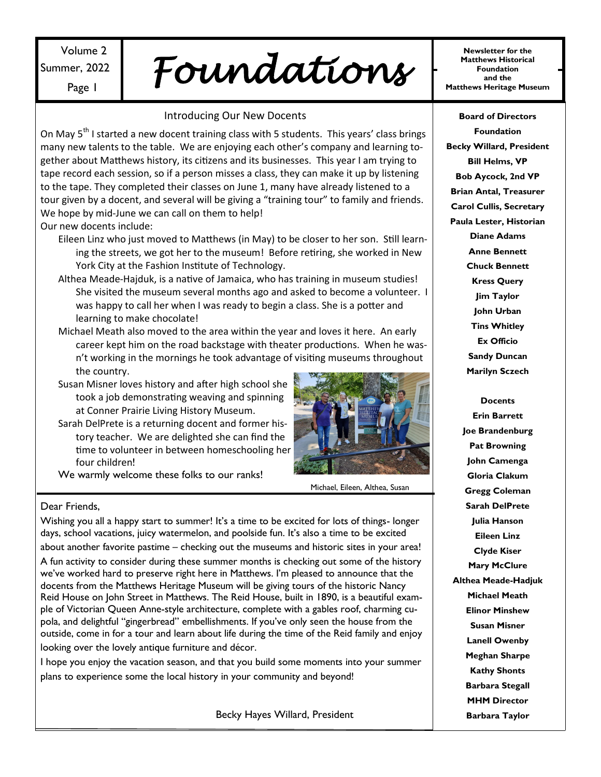## Volume 2 Summer, 2022

 $\mathcal{L}_{\text{Mottel}}$  Foundation  $\mathcal{L}_{\text{Mattlews Hirtorical}}$ 

### Introducing Our New Docents

On May 5<sup>th</sup> I started a new docent training class with 5 students. This years' class brings many new talents to the table. We are enjoying each other's company and learning together about Matthews history, its citizens and its businesses. This year I am trying to tape record each session, so if a person misses a class, they can make it up by listening to the tape. They completed their classes on June 1, many have already listened to a tour given by a docent, and several will be giving a "training tour" to family and friends. We hope by mid-June we can call on them to help! Our new docents include:

- Eileen Linz who just moved to Matthews (in May) to be closer to her son. Still learning the streets, we got her to the museum! Before retiring, she worked in New York City at the Fashion Institute of Technology.
- Althea Meade-Hajduk, is a native of Jamaica, who has training in museum studies! She visited the museum several months ago and asked to become a volunteer. I was happy to call her when I was ready to begin a class. She is a potter and learning to make chocolate!
- Michael Meath also moved to the area within the year and loves it here. An early career kept him on the road backstage with theater productions. When he wasn't working in the mornings he took advantage of visiting museums throughout the country.
- Susan Misner loves history and after high school she took a job demonstrating weaving and spinning at Conner Prairie Living History Museum.
- Sarah DelPrete is a returning docent and former history teacher. We are delighted she can find the time to volunteer in between homeschooling her four children!
- We warmly welcome these folks to our ranks!



Michael, Eileen, Althea, Susan

#### Dear Friends,

Wishing you all a happy start to summer! It's a time to be excited for lots of things- longer days, school vacations, juicy watermelon, and poolside fun. It's also a time to be excited about another favorite pastime – checking out the museums and historic sites in your area!

A fun activity to consider during these summer months is checking out some of the history we've worked hard to preserve right here in Matthews. I'm pleased to announce that the docents from the Matthews Heritage Museum will be giving tours of the historic Nancy Reid House on John Street in Matthews. The Reid House, built in 1890, is a beautiful example of Victorian Queen Anne-style architecture, complete with a gables roof, charming cupola, and delightful "gingerbread" embellishments. If you've only seen the house from the outside, come in for a tour and learn about life during the time of the Reid family and enjoy

looking over the lovely antique furniture and décor.

I hope you enjoy the vacation season, and that you build some moments into your summer plans to experience some the local history in your community and beyond!

Becky Hayes Willard, President

**Newsletter for the Matthews Historical Foundation** 

**Board of Directors Foundation Becky Willard, President Bill Helms, VP Bob Aycock, 2nd VP Brian Antal, Treasurer Carol Cullis, Secretary Paula Lester, Historian Diane Adams Anne Bennett Chuck Bennett Kress Query Jim Taylor John Urban Tins Whitley Ex Officio Sandy Duncan Marilyn Sczech**

**Docents Erin Barrett Joe Brandenburg Pat Browning John Camenga Gloria Clakum Gregg Coleman Sarah DelPrete Julia Hanson Eileen Linz Clyde Kiser Mary McClure Althea Meade-Hadjuk Michael Meath Elinor Minshew Susan Misner Lanell Owenby Meghan Sharpe Kathy Shonts Barbara Stegall MHM Director Barbara Taylor**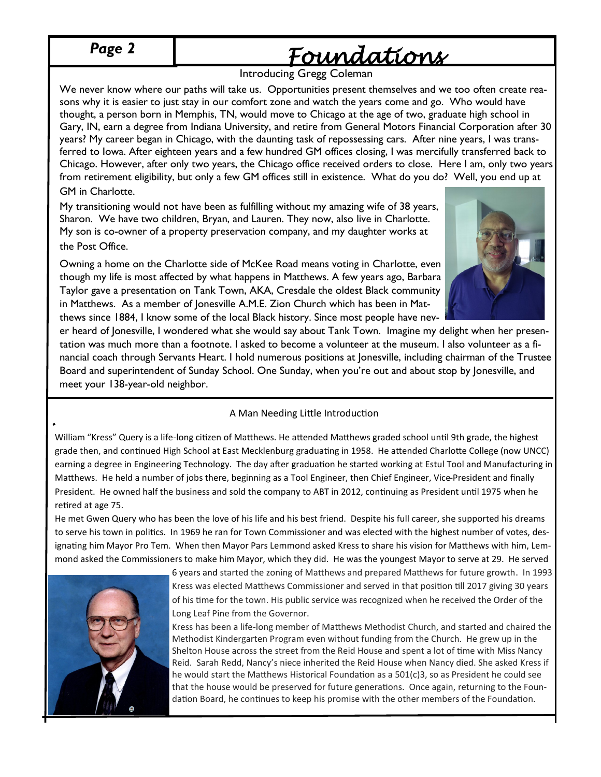*Page 2*

# *Foundations*

### Introducing Gregg Coleman

We never know where our paths will take us. Opportunities present themselves and we too often create reasons why it is easier to just stay in our comfort zone and watch the years come and go. Who would have thought, a person born in Memphis, TN, would move to Chicago at the age of two, graduate high school in Gary, IN, earn a degree from Indiana University, and retire from General Motors Financial Corporation after 30 years? My career began in Chicago, with the daunting task of repossessing cars. After nine years, I was transferred to Iowa. After eighteen years and a few hundred GM offices closing, I was mercifully transferred back to Chicago. However, after only two years, the Chicago office received orders to close. Here I am, only two years from retirement eligibility, but only a few GM offices still in existence. What do you do? Well, you end up at GM in Charlotte.

My transitioning would not have been as fulfilling without my amazing wife of 38 years, Sharon. We have two children, Bryan, and Lauren. They now, also live in Charlotte. My son is co-owner of a property preservation company, and my daughter works at the Post Office.

Owning a home on the Charlotte side of McKee Road means voting in Charlotte, even though my life is most affected by what happens in Matthews. A few years ago, Barbara Taylor gave a presentation on Tank Town, AKA, Cresdale the oldest Black community in Matthews. As a member of Jonesville A.M.E. Zion Church which has been in Matthews since 1884, I know some of the local Black history. Since most people have nev-



er heard of Jonesville, I wondered what she would say about Tank Town. Imagine my delight when her presentation was much more than a footnote. I asked to become a volunteer at the museum. I also volunteer as a financial coach through Servants Heart. I hold numerous positions at Jonesville, including chairman of the Trustee Board and superintendent of Sunday School. One Sunday, when you're out and about stop by Jonesville, and meet your 138-year-old neighbor.

### A Man Needing Little Introduction

William "Kress" Query is a life-long citizen of Matthews. He attended Matthews graded school until 9th grade, the highest grade then, and continued High School at East Mecklenburg graduating in 1958. He attended Charlotte College (now UNCC) earning a degree in Engineering Technology. The day after graduation he started working at Estul Tool and Manufacturing in Matthews. He held a number of jobs there, beginning as a Tool Engineer, then Chief Engineer, Vice-President and finally President. He owned half the business and sold the company to ABT in 2012, continuing as President until 1975 when he retired at age 75.

He met Gwen Query who has been the love of his life and his best friend. Despite his full career, she supported his dreams to serve his town in politics. In 1969 he ran for Town Commissioner and was elected with the highest number of votes, designating him Mayor Pro Tem. When then Mayor Pars Lemmond asked Kress to share his vision for Matthews with him, Lemmond asked the Commissioners to make him Mayor, which they did. He was the youngest Mayor to serve at 29. He served



6 years and started the zoning of Matthews and prepared Matthews for future growth. In 1993 Kress was elected Matthews Commissioner and served in that position till 2017 giving 30 years of his time for the town. His public service was recognized when he received the Order of the Long Leaf Pine from the Governor.

Kress has been a life-long member of Matthews Methodist Church, and started and chaired the Methodist Kindergarten Program even without funding from the Church. He grew up in the Shelton House across the street from the Reid House and spent a lot of time with Miss Nancy Reid. Sarah Redd, Nancy's niece inherited the Reid House when Nancy died. She asked Kress if he would start the Matthews Historical Foundation as a 501(c)3, so as President he could see that the house would be preserved for future generations. Once again, returning to the Foundation Board, he continues to keep his promise with the other members of the Foundation.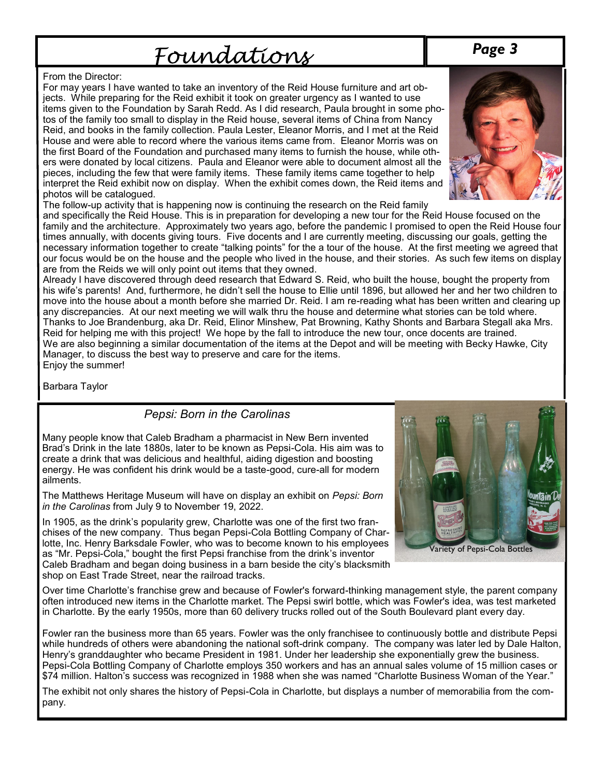# Foundations

### From the Director:

For may years I have wanted to take an inventory of the Reid House furniture and art objects. While preparing for the Reid exhibit it took on greater urgency as I wanted to use items given to the Foundation by Sarah Redd. As I did research, Paula brought in some photos of the family too small to display in the Reid house, several items of China from Nancy Reid, and books in the family collection. Paula Lester, Eleanor Morris, and I met at the Reid House and were able to record where the various items came from. Eleanor Morris was on the first Board of the Foundation and purchased many items to furnish the house, while others were donated by local citizens. Paula and Eleanor were able to document almost all the pieces, including the few that were family items. These family items came together to help interpret the Reid exhibit now on display. When the exhibit comes down, the Reid items and photos will be catalogued.



The follow-up activity that is happening now is continuing the research on the Reid family

and specifically the Reid House. This is in preparation for developing a new tour for the Reid House focused on the family and the architecture. Approximately two years ago, before the pandemic I promised to open the Reid House four times annually, with docents giving tours. Five docents and I are currently meeting, discussing our goals, getting the necessary information together to create "talking points" for the a tour of the house. At the first meeting we agreed that our focus would be on the house and the people who lived in the house, and their stories. As such few items on display are from the Reids we will only point out items that they owned.

Already I have discovered through deed research that Edward S. Reid, who built the house, bought the property from his wife's parents! And, furthermore, he didn't sell the house to Ellie until 1896, but allowed her and her two children to move into the house about a month before she married Dr. Reid. I am re-reading what has been written and clearing up any discrepancies. At our next meeting we will walk thru the house and determine what stories can be told where. Thanks to Joe Brandenburg, aka Dr. Reid, Elinor Minshew, Pat Browning, Kathy Shonts and Barbara Stegall aka Mrs. Reid for helping me with this project! We hope by the fall to introduce the new tour, once docents are trained. We are also beginning a similar documentation of the items at the Depot and will be meeting with Becky Hawke, City Manager, to discuss the best way to preserve and care for the items. Enjoy the summer!

Barbara Taylor

### *Pepsi: Born in the Carolinas*

Many people know that Caleb Bradham a pharmacist in New Bern invented Brad's Drink in the late 1880s, later to be known as Pepsi-Cola. His aim was to create a drink that was delicious and healthful, aiding digestion and boosting energy. He was confident his drink would be a taste-good, cure-all for modern ailments.

The Matthews Heritage Museum will have on display an exhibit on *Pepsi: Born in the Carolinas* from July 9 to November 19, 2022.

In 1905, as the drink's popularity grew, Charlotte was one of the first two franchises of the new company. Thus began Pepsi-Cola Bottling Company of Charlotte, Inc. Henry Barksdale Fowler, who was to become known to his employees as "Mr. Pepsi-Cola," bought the first Pepsi franchise from the drink's inventor Caleb Bradham and began doing business in a barn beside the city's blacksmith shop on East Trade Street, near the railroad tracks.



Over time Charlotte's franchise grew and because of Fowler's forward-thinking management style, the parent company often introduced new items in the Charlotte market. The Pepsi swirl bottle, which was Fowler's idea, was test marketed in Charlotte. By the early 1950s, more than 60 delivery trucks rolled out of the South Boulevard plant every day.

Fowler ran the business more than 65 years. Fowler was the only franchisee to continuously bottle and distribute Pepsi while hundreds of others were abandoning the national soft-drink company. The company was later led by Dale Halton, Henry's granddaughter who became President in 1981. Under her leadership she exponentially grew the business. Pepsi-Cola Bottling Company of Charlotte employs 350 workers and has an annual sales volume of 15 million cases or \$74 million. Halton's success was recognized in 1988 when she was named "Charlotte Business Woman of the Year."

The exhibit not only shares the history of Pepsi-Cola in Charlotte, but displays a number of memorabilia from the company.

## *Page 3*